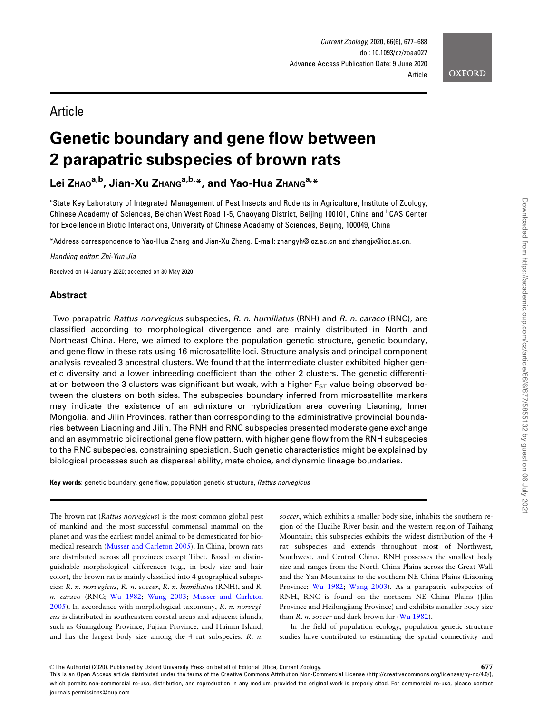# Article

# Genetic boundary and gene flow between 2 parapatric subspecies of brown rats

Lei ZHAO<sup>a,b</sup>, Jian-Xu ZHANG<sup>a,b,\*</sup>, and Yao-Hua ZHANG<sup>a,\*</sup>

<sup>a</sup>State Key Laboratory of Integrated Management of Pest Insects and Rodents in Agriculture, Institute of Zoology, Chinese Academy of Sciences, Beichen West Road 1-5, Chaoyang District, Beijing 100101, China and <sup>b</sup>CAS Center for Excellence in Biotic Interactions, University of Chinese Academy of Sciences, Beijing, 100049, China

\*Address correspondence to Yao-Hua Zhang and Jian-Xu Zhang. E-mail: zhangyh@ioz.ac.cn and zhangjx@ioz.ac.cn.

Handling editor: Zhi-Yun Jia

Received on 14 January 2020; accepted on 30 May 2020

# Abstract

Two parapatric Rattus norvegicus subspecies, R. n. humiliatus (RNH) and R. n. caraco (RNC), are classified according to morphological divergence and are mainly distributed in North and Northeast China. Here, we aimed to explore the population genetic structure, genetic boundary, and gene flow in these rats using 16 microsatellite loci. Structure analysis and principal component analysis revealed 3 ancestral clusters. We found that the intermediate cluster exhibited higher genetic diversity and a lower inbreeding coefficient than the other 2 clusters. The genetic differentiation between the 3 clusters was significant but weak, with a higher  $F_{ST}$  value being observed between the clusters on both sides. The subspecies boundary inferred from microsatellite markers may indicate the existence of an admixture or hybridization area covering Liaoning, Inner Mongolia, and Jilin Provinces, rather than corresponding to the administrative provincial boundaries between Liaoning and Jilin. The RNH and RNC subspecies presented moderate gene exchange and an asymmetric bidirectional gene flow pattern, with higher gene flow from the RNH subspecies to the RNC subspecies, constraining speciation. Such genetic characteristics might be explained by biological processes such as dispersal ability, mate choice, and dynamic lineage boundaries.

Key words: genetic boundary, gene flow, population genetic structure, Rattus norvegicus

The brown rat (Rattus norvegicus) is the most common global pest of mankind and the most successful commensal mammal on the planet and was the earliest model animal to be domesticated for biomedical research ([Musser and Carleton 2005](#page-11-0)). In China, brown rats are distributed across all provinces except Tibet. Based on distinguishable morphological differences (e.g., in body size and hair color), the brown rat is mainly classified into 4 geographical subspecies: R. n. norvegicus, R. n. soccer, R. n. humiliatus (RNH), and R. n. caraco (RNC; [Wu 1982](#page-11-0); [Wang 2003;](#page-11-0) [Musser and Carleton](#page-11-0) [2005](#page-11-0)). In accordance with morphological taxonomy, R. n. norvegicus is distributed in southeastern coastal areas and adjacent islands, such as Guangdong Province, Fujian Province, and Hainan Island, and has the largest body size among the 4 rat subspecies. R. n.

soccer, which exhibits a smaller body size, inhabits the southern region of the Huaihe River basin and the western region of Taihang Mountain; this subspecies exhibits the widest distribution of the 4 rat subspecies and extends throughout most of Northwest, Southwest, and Central China. RNH possesses the smallest body size and ranges from the North China Plains across the Great Wall and the Yan Mountains to the southern NE China Plains (Liaoning Province; [Wu 1982;](#page-11-0) [Wang 2003\)](#page-11-0). As a parapatric subspecies of RNH, RNC is found on the northern NE China Plains (Jilin Province and Heilongjiang Province) and exhibits asmaller body size than  $R$ . *n*. *soccer* and dark brown fur ( $Wu$  1982).

In the field of population ecology, population genetic structure studies have contributed to estimating the spatial connectivity and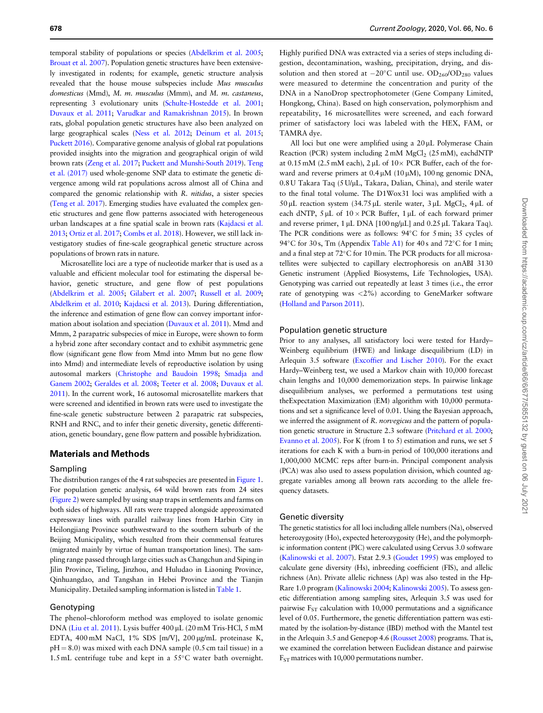temporal stability of populations or species ([Abdelkrim et al. 2005](#page-10-0); [Brouat et al. 2007](#page-10-0)). Population genetic structures have been extensively investigated in rodents; for example, genetic structure analysis revealed that the house mouse subspecies include Mus musculus domesticus (Mmd), M. m. musculus (Mmm), and M. m. castaneus, representing 3 evolutionary units [\(Schulte-Hostedde et al. 2001](#page-11-0); [Duvaux et al. 2011;](#page-10-0) [Varudkar and Ramakrishnan 2015](#page-11-0)). In brown rats, global population genetic structures have also been analyzed on large geographical scales [\(Ness et al. 2012](#page-11-0); [Deinum et al. 2015](#page-10-0); [Puckett 2016\)](#page-11-0). Comparative genome analysis of global rat populations provided insights into the migration and geographical origin of wild brown rats [\(Zeng et al. 2017](#page-11-0); [Puckett and Munshi-South 2019\)](#page-11-0). [Teng](#page-11-0) [et al. \(2017\)](#page-11-0) used whole-genome SNP data to estimate the genetic divergence among wild rat populations across almost all of China and compared the genomic relationship with R. nitidus, a sister species [\(Teng et al. 2017](#page-11-0)). Emerging studies have evaluated the complex genetic structures and gene flow patterns associated with heterogeneous urban landscapes at a fine spatial scale in brown rats ([Kajdacsi et al.](#page-11-0) [2013;](#page-11-0) [Ortiz et al. 2017](#page-11-0); [Combs et al. 2018](#page-10-0)). However, we still lack investigatory studies of fine-scale geographical genetic structure across populations of brown rats in nature.

Microsatellite loci are a type of nucleotide marker that is used as a valuable and efficient molecular tool for estimating the dispersal behavior, genetic structure, and gene flow of pest populations [\(Abdelkrim et al. 2005](#page-10-0); [Gilabert et al. 2007](#page-10-0); [Russell et al. 2009](#page-11-0); [Abdelkrim et al. 2010;](#page-10-0) [Kajdacsi et al. 2013\)](#page-11-0). During differentiation, the inference and estimation of gene flow can convey important information about isolation and speciation ([Duvaux et al. 2011\)](#page-10-0). Mmd and Mmm, 2 parapatric subspecies of mice in Europe, were shown to form a hybrid zone after secondary contact and to exhibit asymmetric gene flow (significant gene flow from Mmd into Mmm but no gene flow into Mmd) and intermediate levels of reproductive isolation by using autosomal markers [\(Christophe and Baudoin 1998](#page-10-0); [Smadja and](#page-11-0) [Ganem 2002;](#page-11-0) [Geraldes et al. 2008](#page-10-0); [Teeter et al. 2008](#page-11-0); [Duvaux et al.](#page-10-0) [2011\)](#page-10-0). In the current work, 16 autosomal microsatellite markers that were screened and identified in brown rats were used to investigate the fine-scale genetic substructure between 2 parapatric rat subspecies, RNH and RNC, and to infer their genetic diversity, genetic differentiation, genetic boundary, gene flow pattern and possible hybridization.

### Materials and Methods

#### Sampling

The distribution ranges of the 4 rat subspecies are presented in [Figure 1](#page-2-0). For population genetic analysis, 64 wild brown rats from 24 sites [\(Figure 2](#page-3-0)) were sampled by using snap traps in settlements and farms on both sides of highways. All rats were trapped alongside approximated expressway lines with parallel railway lines from Harbin City in Heilongjiang Province southwestward to the southern suburb of the Beijing Municipality, which resulted from their commensal features (migrated mainly by virtue of human transportation lines). The sampling range passed through large cities such as Changchun and Siping in Jilin Province, Tieling, Jinzhou, and Huludao in Liaoning Province, Qinhuangdao, and Tangshan in Hebei Province and the Tianjin Municipality. Detailed sampling information is listed in [Table 1](#page-4-0).

#### Genotyping

The phenol–chloroform method was employed to isolate genomic DNA [\(Liu et al. 2011](#page-11-0)). Lysis buffer 400 µL (20 mM Tris-HCl, 5 mM EDTA, 400 mM NaCl, 1% SDS [m/V], 200 µg/mL proteinase K,  $pH = 8.0$ ) was mixed with each DNA sample (0.5 cm tail tissue) in a 1.5 mL centrifuge tube and kept in a  $55^{\circ}$ C water bath overnight.

Highly purified DNA was extracted via a series of steps including digestion, decontamination, washing, precipitation, drying, and dissolution and then stored at  $-20^{\circ}$ C until use.  $OD_{260}/OD_{280}$  values were measured to determine the concentration and purity of the DNA in a NanoDrop spectrophotometer (Gene Company Limited, Hongkong, China). Based on high conservation, polymorphism and repeatability, 16 microsatellites were screened, and each forward primer of satisfactory loci was labeled with the HEX, FAM, or TAMRA dye.

All loci but one were amplified using a 20 uL Polymerase Chain Reaction (PCR) system including  $2 \text{ mM } MgCl_2$  ( $25 \text{ mM}$ ), eachdNTP at  $0.15$  mM (2.5 mM each),  $2 \mu L$  of  $10 \times PCR$  Buffer, each of the forward and reverse primers at  $0.4 \mu M$  (10  $\mu$ M), 100 ng genomic DNA, 0.8 U Takara Taq (5 U/µL, Takara, Dalian, China), and sterile water to the final total volume. The D1Wox31 loci was amplified with a 50 µL reaction system (34.75 µL sterile water,  $3 \mu$ L MgCl<sub>2</sub>,  $4 \mu$ L of each dNTP,  $5 \mu L$  of  $10 \times PCR$  Buffer,  $1 \mu L$  of each forward primer and reverse primer, 1 µL DNA [100 ng/µL] and 0.25 µL Takara Taq). The PCR conditions were as follows: 94°C for 5 min; 35 cycles of 94°C for 30 s, Tm (Appendix [Table A1\)](#page-9-0) for 40 s and 72°C for 1 min; and a final step at 72°C for 10 min. The PCR products for all microsatellites were subjected to capillary electrophoresis on anABI 3130 Genetic instrument (Applied Biosystems, Life Technologies, USA). Genotyping was carried out repeatedly at least 3 times (i.e., the error rate of genotyping was <2%) according to GeneMarker software [\(Holland and Parson 2011\)](#page-11-0).

#### Population genetic structure

Prior to any analyses, all satisfactory loci were tested for Hardy– Weinberg equilibrium (HWE) and linkage disequilibrium (LD) in Arlequin 3.5 software [\(Excoffier and Lischer 2010\)](#page-10-0). For the exact Hardy–Weinberg test, we used a Markov chain with 10,000 forecast chain lengths and 10,000 dememorization steps. In pairwise linkage disequilibrium analyses, we performed a permutations test using theExpectation Maximization (EM) algorithm with 10,000 permutations and set a significance level of 0.01. Using the Bayesian approach, we inferred the assignment of R. norvegicus and the pattern of population genetic structure in Structure 2.3 software ([Pritchard et al. 2000](#page-11-0); [Evanno et al. 2005\)](#page-10-0). For K (from 1 to 5) estimation and runs, we set 5 iterations for each K with a burn-in period of 100,000 iterations and 1,000,000 MCMC reps after burn-in. Principal component analysis (PCA) was also used to assess population division, which counted aggregate variables among all brown rats according to the allele frequency datasets.

#### Genetic diversity

The genetic statistics for all loci including allele numbers (Na), observed heterozygosity (Ho), expected heterozygosity (He), and the polymorphic information content (PIC) were calculated using Cervus 3.0 software [\(Kalinowski et al. 2007\)](#page-11-0). Fstat 2.9.3 ([Goudet 1995](#page-10-0)) was employed to calculate gene diversity (Hs), inbreeding coefficient (FIS), and allelic richness (An). Private allelic richness (Ap) was also tested in the Hp-Rare 1.0 program [\(Kalinowski 2004;](#page-11-0) [Kalinowski 2005\)](#page-11-0). To assess genetic differentiation among sampling sites, Arlequin 3.5 was used for pairwise  $F_{ST}$  calculation with 10,000 permutations and a significance level of 0.05. Furthermore, the genetic differentiation pattern was estimated by the isolation-by-distance (IBD) method with the Mantel test in the Arlequin 3.5 and Genepop 4.6 [\(Rousset 2008\)](#page-11-0) programs. That is, we examined the correlation between Euclidean distance and pairwise  $F_{ST}$  matrices with 10,000 permutations number.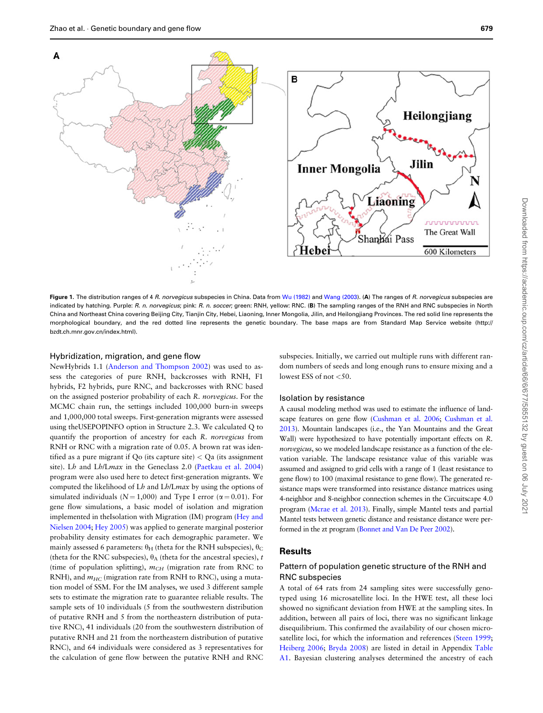<span id="page-2-0"></span>

Figure 1. The distribution ranges of 4 R. norvegicus subspecies in China. Data from [Wu \(1982\)](#page-11-0) and [Wang \(2003\)](#page-11-0). (A) The ranges of R. norvegicus subspecies are indicated by hatching. Purple: R. n. norvegicus; pink: R. n. soccer; green: RNH, yellow: RNC. (B) The sampling ranges of the RNH and RNC subspecies in North China and Northeast China covering Beijing City, Tianjin City, Hebei, Liaoning, Inner Mongolia, Jilin, and Heilongjiang Provinces. The red solid line represents the morphological boundary, and the red dotted line represents the genetic boundary. The base maps are from Standard Map Service website (http:// bzdt.ch.mnr.gov.cn/index.html).

# Hybridization, migration, and gene flow

NewHybrids 1.1 ([Anderson and Thompson 2002](#page-10-0)) was used to assess the categories of pure RNH, backcrosses with RNH, F1 hybrids, F2 hybrids, pure RNC, and backcrosses with RNC based on the assigned posterior probability of each R. norvegicus. For the MCMC chain run, the settings included 100,000 burn-in sweeps and 1,000,000 total sweeps. First-generation migrants were assessed using theUSEPOPINFO option in Structure 2.3. We calculated Q to quantify the proportion of ancestry for each R. norvegicus from RNH or RNC with a migration rate of 0.05. A brown rat was identified as a pure migrant if Qo (its capture site) < Qa (its assignment site). Lh and Lh/Lmax in the Geneclass 2.0 [\(Paetkau et al. 2004\)](#page-11-0) program were also used here to detect first-generation migrants. We computed the likelihood of Lh and Lh/Lmax by using the options of simulated individuals ( $N = 1,000$ ) and Type I error ( $\alpha = 0.01$ ). For gene flow simulations, a basic model of isolation and migration implemented in theIsolation with Migration (IM) program ([Hey and](#page-11-0) [Nielsen 2004](#page-11-0); [Hey 2005](#page-11-0)) was applied to generate marginal posterior probability density estimates for each demographic parameter. We mainly assessed 6 parameters:  $\theta_H$  (theta for the RNH subspecies),  $\theta_C$ (theta for the RNC subspecies),  $\theta_A$  (theta for the ancestral species), t (time of population splitting),  $m<sub>CH</sub>$  (migration rate from RNC to RNH), and  $m_{HC}$  (migration rate from RNH to RNC), using a mutation model of SSM. For the IM analyses, we used 3 different sample sets to estimate the migration rate to guarantee reliable results. The sample sets of 10 individuals (5 from the southwestern distribution of putative RNH and 5 from the northeastern distribution of putative RNC), 41 individuals (20 from the southwestern distribution of putative RNH and 21 from the northeastern distribution of putative RNC), and 64 individuals were considered as 3 representatives for the calculation of gene flow between the putative RNH and RNC

subspecies. Initially, we carried out multiple runs with different random numbers of seeds and long enough runs to ensure mixing and a lowest ESS of not  $<$  50.

#### Isolation by resistance

A causal modeling method was used to estimate the influence of landscape features on gene flow [\(Cushman et al. 2006](#page-10-0); [Cushman et al.](#page-10-0) [2013\)](#page-10-0). Mountain landscapes (i.e., the Yan Mountains and the Great Wall) were hypothesized to have potentially important effects on R. norvegicus, so we modeled landscape resistance as a function of the elevation variable. The landscape resistance value of this variable was assumed and assigned to grid cells with a range of 1 (least resistance to gene flow) to 100 (maximal resistance to gene flow). The generated resistance maps were transformed into resistance distance matrices using 4-neighbor and 8-neighbor connection schemes in the Circuitscape 4.0 program [\(Mcrae et al. 2013](#page-11-0)). Finally, simple Mantel tests and partial Mantel tests between genetic distance and resistance distance were performed in the zt program [\(Bonnet and Van De Peer 2002\)](#page-10-0).

## **Results**

# Pattern of population genetic structure of the RNH and RNC subspecies

A total of 64 rats from 24 sampling sites were successfully genotyped using 16 microsatellite loci. In the HWE test, all these loci showed no significant deviation from HWE at the sampling sites. In addition, between all pairs of loci, there was no significant linkage disequilibrium. This confirmed the availability of our chosen micro-satellite loci, for which the information and references [\(Steen 1999](#page-11-0); [Heiberg 2006;](#page-11-0) [Bryda 2008](#page-10-0)) are listed in detail in Appendix [Table](#page-9-0) [A1.](#page-9-0) Bayesian clustering analyses determined the ancestry of each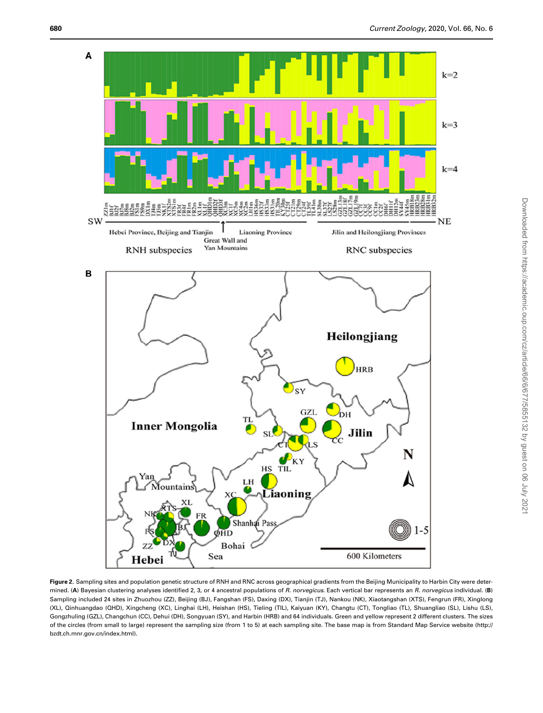<span id="page-3-0"></span>

Figure 2. Sampling sites and population genetic structure of RNH and RNC across geographical gradients from the Beijing Municipality to Harbin City were determined. (A) Bayesian clustering analyses identified 2, 3, or 4 ancestral populations of R. norvegicus. Each vertical bar represents an R. norvegicus individual. (B) Sampling included 24 sites in Zhuozhou (ZZ), Beijing (BJ), Fangshan (FS), Daxing (DX), Tianjin (TJ), Nankou (NK), Xiaotangshan (XTS), Fengrun (FR), Xinglong (XL), Qinhuangdao (QHD), Xingcheng (XC), Linghai (LH), Heishan (HS), Tieling (TIL), Kaiyuan (KY), Changtu (CT), Tongliao (TL), Shuangliao (SL), Lishu (LS), Gongzhuling (GZL), Changchun (CC), Dehui (DH), Songyuan (SY), and Harbin (HRB) and 64 individuals. Green and yellow represent 2 different clusters. The sizes of the circles (from small to large) represent the sampling size (from 1 to 5) at each sampling site. The base map is from Standard Map Service website (http:// bzdt.ch.mnr.gov.cn/index.html).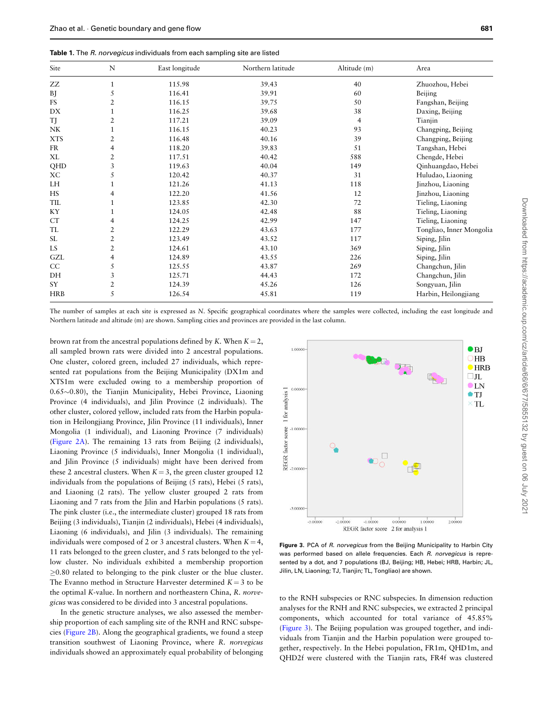<span id="page-4-0"></span>

| Site       | N              | East longitude | Northern latitude | Altitude (m) | Area                     |
|------------|----------------|----------------|-------------------|--------------|--------------------------|
| ZZ         | $\mathbf{1}$   | 115.98         | 39.43             | 40           | Zhuozhou, Hebei          |
| ВJ         | 5              | 116.41         | 39.91             | 60           | Beijing                  |
| FS         | 2              | 116.15         | 39.75             | 50           | Fangshan, Beijing        |
| DX         |                | 116.25         | 39.68             | 38           | Daxing, Beijing          |
| <b>TJ</b>  | 2              | 117.21         | 39.09             | 4            | Tianjin                  |
| NK         | 1              | 116.15         | 40.23             | 93           | Changping, Beijing       |
| <b>XTS</b> | 2              | 116.48         | 40.16             | 39           | Changping, Beijing       |
| <b>FR</b>  | 4              | 118.20         | 39.83             | 51           | Tangshan, Hebei          |
| XL         | $\overline{2}$ | 117.51         | 40.42             | 588          | Chengde, Hebei           |
| QHD        | 3              | 119.63         | 40.04             | 149          | Qinhuangdao, Hebei       |
| ХC         | 5              | 120.42         | 40.37             | 31           | Huludao, Liaoning        |
| LH         |                | 121.26         | 41.13             | 118          | Jinzhou, Liaoning        |
| <b>HS</b>  | 4              | 122.20         | 41.56             | 12           | Jinzhou, Liaoning        |
| TIL        | 1              | 123.85         | 42.30             | 72           | Tieling, Liaoning        |
| KY         |                | 124.05         | 42.48             | 88           | Tieling, Liaoning        |
| CT         | 4              | 124.25         | 42.99             | 147          | Tieling, Liaoning        |
| TL         | 2              | 122.29         | 43.63             | 177          | Tongliao, Inner Mongolia |
| SL         | $\overline{2}$ | 123.49         | 43.52             | 117          | Siping, Jilin            |
| LS         | $\overline{2}$ | 124.61         | 43.10             | 369          | Siping, Jilin            |
| GZL        | 4              | 124.89         | 43.55             | 226          | Siping, Jilin            |
| CC         | 5              | 125.55         | 43.87             | 269          | Changchun, Jilin         |
| DH         | 3              | 125.71         | 44.43             | 172          | Changchun, Jilin         |
| SY         | 2              | 124.39         | 45.26             | 126          | Songyuan, Jilin          |
| HRB        | 5              | 126.54         | 45.81             | 119          | Harbin, Heilongjiang     |

The number of samples at each site is expressed as N. Specific geographical coordinates where the samples were collected, including the east longitude and Northern latitude and altitude (m) are shown. Sampling cities and provinces are provided in the last column.

brown rat from the ancestral populations defined by K. When  $K = 2$ , all sampled brown rats were divided into 2 ancestral populations. One cluster, colored green, included 27 individuals, which represented rat populations from the Beijing Municipality (DX1m and XTS1m were excluded owing to a membership proportion of  $0.65 \sim 0.80$ ), the Tianjin Municipality, Hebei Province, Liaoning Province (4 individuals), and Jilin Province (2 individuals). The other cluster, colored yellow, included rats from the Harbin population in Heilongjiang Province, Jilin Province (11 individuals), Inner Mongolia (1 individual), and Liaoning Province (7 individuals) [\(Figure 2A](#page-3-0)). The remaining 13 rats from Beijing (2 individuals), Liaoning Province (5 individuals), Inner Mongolia (1 individual), and Jilin Province (5 individuals) might have been derived from these 2 ancestral clusters. When  $K = 3$ , the green cluster grouped 12 individuals from the populations of Beijing (5 rats), Hebei (5 rats), and Liaoning (2 rats). The yellow cluster grouped 2 rats from Liaoning and 7 rats from the Jilin and Harbin populations (5 rats). The pink cluster (i.e., the intermediate cluster) grouped 18 rats from Beijing (3 individuals), Tianjin (2 individuals), Hebei (4 individuals), Liaoning (6 individuals), and Jilin (3 individuals). The remaining individuals were composed of 2 or 3 ancestral clusters. When  $K = 4$ , 11 rats belonged to the green cluster, and 5 rats belonged to the yellow cluster. No individuals exhibited a membership proportion  $\geq$ 0.80 related to belonging to the pink cluster or the blue cluster. The Evanno method in Structure Harvester determined  $K = 3$  to be the optimal K-value. In northern and northeastern China, R. norvegicus was considered to be divided into 3 ancestral populations.

In the genetic structure analyses, we also assessed the membership proportion of each sampling site of the RNH and RNC subspecies [\(Figure 2B](#page-3-0)). Along the geographical gradients, we found a steep transition southwest of Liaoning Province, where R. norvegicus individuals showed an approximately equal probability of belonging



Figure 3. PCA of R. norvegicus from the Beijing Municipality to Harbin City was performed based on allele frequencies. Each R. norvegicus is represented by a dot, and 7 populations (BJ, Beijing; HB, Hebei; HRB, Harbin; JL, Jilin, LN, Liaoning; TJ, Tianjin; TL, Tongliao) are shown.

to the RNH subspecies or RNC subspecies. In dimension reduction analyses for the RNH and RNC subspecies, we extracted 2 principal components, which accounted for total variance of 45.85% (Figure 3). The Beijing population was grouped together, and individuals from Tianjin and the Harbin population were grouped together, respectively. In the Hebei population, FR1m, QHD1m, and QHD2f were clustered with the Tianjin rats, FR4f was clustered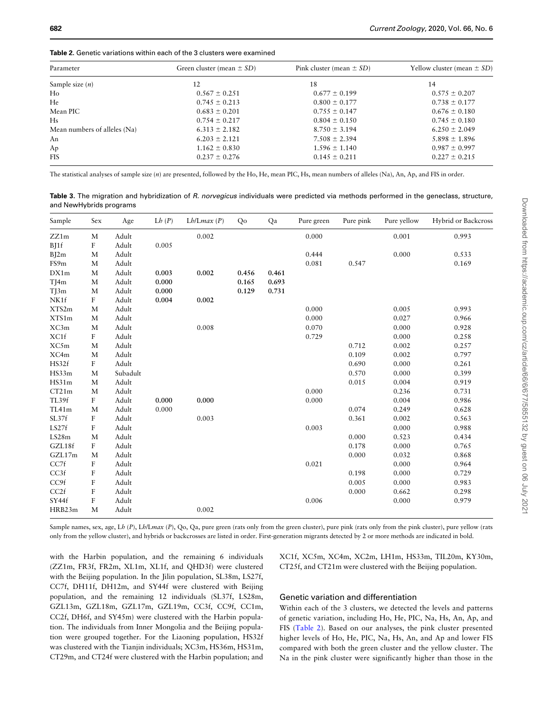| Parameter                    | Green cluster (mean $\pm SD$ ) | Pink cluster (mean $\pm$ SD) | Yellow cluster (mean $\pm SD$ ) |
|------------------------------|--------------------------------|------------------------------|---------------------------------|
| Sample size $(n)$            | 12                             | 18                           | 14                              |
| Ho                           | $0.567 \pm 0.251$              | $0.677 \pm 0.199$            | $0.575 \pm 0.207$               |
| He                           | $0.745 \pm 0.213$              | $0.800 \pm 0.177$            | $0.738 \pm 0.177$               |
| Mean PIC                     | $0.683 \pm 0.201$              | $0.755 \pm 0.147$            | $0.676 \pm 0.180$               |
| Hs                           | $0.754 \pm 0.217$              | $0.804 \pm 0.150$            | $0.745 \pm 0.180$               |
| Mean numbers of alleles (Na) | $6.313 \pm 2.182$              | $8.750 \pm 3.194$            | $6.250 \pm 2.049$               |
| An                           | $6.203 \pm 2.121$              | $7.508 \pm 2.394$            | $5.898 \pm 1.896$               |
| Ap                           | $1.162 \pm 0.830$              | $1.596 \pm 1.140$            | $0.987 \pm 0.997$               |
| <b>FIS</b>                   | $0.237 \pm 0.276$              | $0.145 \pm 0.211$            | $0.227 \pm 0.215$               |
|                              |                                |                              |                                 |

<span id="page-5-0"></span>Table 2. Genetic variations within each of the 3 clusters were examined

The statistical analyses of sample size (n) are presented, followed by the Ho, He, mean PIC, Hs, mean numbers of alleles (Na), An, Ap, and FIS in order.

Table 3. The migration and hybridization of R. norvegicus individuals were predicted via methods performed in the geneclass, structure, and NewHybrids programs

| Sample | Sex              | Age      | Lh(P) | $Lh/Lmax$ (P) | Qo    | Qa    | Pure green | Pure pink | Pure yellow | Hybrid or Backcross |
|--------|------------------|----------|-------|---------------|-------|-------|------------|-----------|-------------|---------------------|
| ZZ1m   | M                | Adult    |       | 0.002         |       |       | 0.000      |           | 0.001       | 0.993               |
| B[1f]  | $\rm F$          | Adult    | 0.005 |               |       |       |            |           |             |                     |
| B[2m]  | M                | Adult    |       |               |       |       | 0.444      |           | 0.000       | 0.533               |
| FS9m   | M                | Adult    |       |               |       |       | 0.081      | 0.547     |             | 0.169               |
| DX1m   | M                | Adult    | 0.003 | 0.002         | 0.456 | 0.461 |            |           |             |                     |
| T[4m]  | M                | Adult    | 0.000 |               | 0.165 | 0.693 |            |           |             |                     |
| TJ3m   | M                | Adult    | 0.000 |               | 0.129 | 0.731 |            |           |             |                     |
| NK1f   | $\rm F$          | Adult    | 0.004 | 0.002         |       |       |            |           |             |                     |
| XTS2m  | M                | Adult    |       |               |       |       | 0.000      |           | 0.005       | 0.993               |
| XTS1m  | M                | Adult    |       |               |       |       | 0.000      |           | 0.027       | 0.966               |
| XC3m   | M                | Adult    |       | 0.008         |       |       | 0.070      |           | 0.000       | 0.928               |
| XC1f   | $\mathbf F$      | Adult    |       |               |       |       | 0.729      |           | 0.000       | 0.258               |
| XC5m   | M                | Adult    |       |               |       |       |            | 0.712     | 0.002       | 0.257               |
| XC4m   | M                | Adult    |       |               |       |       |            | 0.109     | 0.002       | 0.797               |
| HS32f  | F                | Adult    |       |               |       |       |            | 0.690     | 0.000       | 0.261               |
| HS33m  | M                | Subadult |       |               |       |       |            | 0.570     | 0.000       | 0.399               |
| HS31m  | M                | Adult    |       |               |       |       |            | 0.015     | 0.004       | 0.919               |
| CT21m  | M                | Adult    |       |               |       |       | 0.000      |           | 0.236       | 0.731               |
| TL39f  | F                | Adult    | 0.000 | 0.000         |       |       | 0.000      |           | 0.004       | 0.986               |
| TL41m  | M                | Adult    | 0.000 |               |       |       |            | 0.074     | 0.249       | 0.628               |
| SL37f  | F                | Adult    |       | 0.003         |       |       |            | 0.361     | 0.002       | 0.563               |
| LS27f  | $\rm F$          | Adult    |       |               |       |       | 0.003      |           | 0.000       | 0.988               |
| LS28m  | M                | Adult    |       |               |       |       |            | 0.000     | 0.523       | 0.434               |
| GZL18f | $\rm F$          | Adult    |       |               |       |       |            | 0.178     | 0.000       | 0.765               |
| GZL17m | M                | Adult    |       |               |       |       |            | 0.000     | 0.032       | 0.868               |
| CC7f   | $\rm F$          | Adult    |       |               |       |       | 0.021      |           | 0.000       | 0.964               |
| CC3f   | $\boldsymbol{F}$ | Adult    |       |               |       |       |            | 0.198     | 0.000       | 0.729               |
| CC9f   | $\boldsymbol{F}$ | Adult    |       |               |       |       |            | 0.005     | 0.000       | 0.983               |
| CC2f   | F                | Adult    |       |               |       |       |            | 0.000     | 0.662       | 0.298               |
| SY44f  | ${\bf F}$        | Adult    |       |               |       |       | 0.006      |           | 0.000       | 0.979               |
| HRB23m | M                | Adult    |       | 0.002         |       |       |            |           |             |                     |

Sample names, sex, age, Lh (P), Lh/Lmax (P), Qo, Qa, pure green (rats only from the green cluster), pure pink (rats only from the pink cluster), pure yellow (rats only from the yellow cluster), and hybrids or backcrosses are listed in order. First-generation migrants detected by 2 or more methods are indicated in bold.

with the Harbin population, and the remaining 6 individuals (ZZ1m, FR3f, FR2m, XL1m, XL1f, and QHD3f) were clustered with the Beijing population. In the Jilin population, SL38m, LS27f, CC7f, DH11f, DH12m, and SY44f were clustered with Beijing population, and the remaining 12 individuals (SL37f, LS28m, GZL13m, GZL18m, GZL17m, GZL19m, CC3f, CC9f, CC1m, CC2f, DH6f, and SY45m) were clustered with the Harbin population. The individuals from Inner Mongolia and the Beijing population were grouped together. For the Liaoning population, HS32f was clustered with the Tianjin individuals; XC3m, HS36m, HS31m, CT29m, and CT24f were clustered with the Harbin population; and

XC1f, XC5m, XC4m, XC2m, LH1m, HS33m, TIL20m, KY30m, CT25f, and CT21m were clustered with the Beijing population.

### Genetic variation and differentiation

Within each of the 3 clusters, we detected the levels and patterns of genetic variation, including Ho, He, PIC, Na, Hs, An, Ap, and FIS (Table 2). Based on our analyses, the pink cluster presented higher levels of Ho, He, PIC, Na, Hs, An, and Ap and lower FIS compared with both the green cluster and the yellow cluster. The Na in the pink cluster were significantly higher than those in the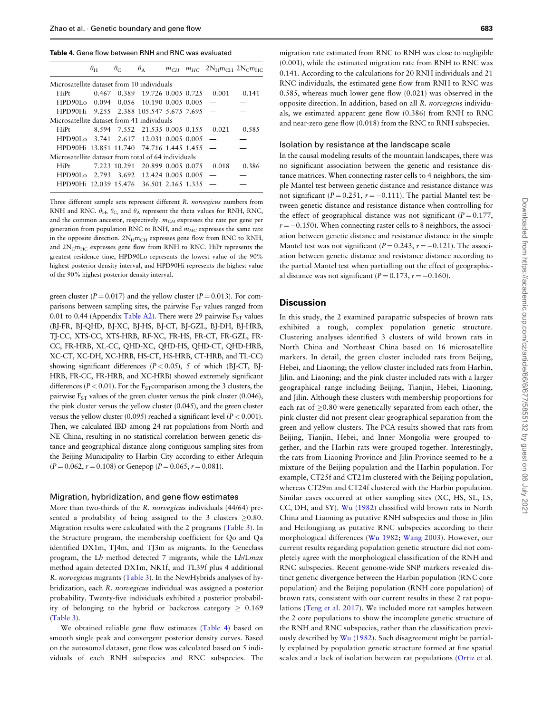Table 4. Gene flow between RNH and RNC was evaluated

|                                                     | $\theta_{\rm H}$ |  |                                       |  |  | $\theta_{\rm C}$ $\theta_{\rm A}$ $m_{\rm CH}$ $m_{\rm HC}$ $2N_{\rm H}m_{\rm CH}$ $2N_{\rm C}m_{\rm HC}$ |       |  |  |  |  |  |
|-----------------------------------------------------|------------------|--|---------------------------------------|--|--|-----------------------------------------------------------------------------------------------------------|-------|--|--|--|--|--|
| Microsatellite dataset from 10 individuals          |                  |  |                                       |  |  |                                                                                                           |       |  |  |  |  |  |
| HiPt                                                |                  |  |                                       |  |  | 0.467 0.389 19.726 0.005 0.725 0.001                                                                      | 0.141 |  |  |  |  |  |
| $HPD90L_0$ 0.094 0.056 10.190 0.005 0.005 -         |                  |  |                                       |  |  |                                                                                                           |       |  |  |  |  |  |
| $HPD90Hi$ 9.255 2.388 105.547 5.675 7.695 -         |                  |  |                                       |  |  |                                                                                                           |       |  |  |  |  |  |
| Microsatellite dataset from 41 individuals          |                  |  |                                       |  |  |                                                                                                           |       |  |  |  |  |  |
| HiPt                                                |                  |  | 8.594 7.552 21.535 0.005 0.155        |  |  | 0.021                                                                                                     | 0.585 |  |  |  |  |  |
| HPD90Lo 3.741 2.617 12.031 0.005 0.005              |                  |  |                                       |  |  |                                                                                                           |       |  |  |  |  |  |
| $HPD90Hi$ 13.851 11.740 74.716 1.445 1.455 $-$      |                  |  |                                       |  |  |                                                                                                           |       |  |  |  |  |  |
| Microsatellite dataset from total of 64 individuals |                  |  |                                       |  |  |                                                                                                           |       |  |  |  |  |  |
| HiPt                                                |                  |  | 7.223 10.291 20.899 0.005 0.075 0.018 |  |  |                                                                                                           | 0.386 |  |  |  |  |  |
| HPD90Lo 2.793 3.692 12.424 0.005 0.005              |                  |  |                                       |  |  |                                                                                                           |       |  |  |  |  |  |
| HPD90Hi 12.039 15.476 36.501 2.165 1.335            |                  |  |                                       |  |  |                                                                                                           |       |  |  |  |  |  |
|                                                     |                  |  |                                       |  |  |                                                                                                           |       |  |  |  |  |  |

Three different sample sets represent different R. norvegicus numbers from RNH and RNC.  $\theta_H$ ,  $\theta_C$ , and  $\theta_A$  represent the theta values for RNH, RNC, and the common ancestor, respectively.  $m_{CH}$  expresses the rate per gene per generation from population RNC to RNH, and  $m_{HC}$  expresses the same rate in the opposite direction.  $2N_{\text{H}}m_{\text{CH}}$  expresses gene flow from RNC to RNH, and  $2N_{\text{C}}$ m<sub>HC</sub> expresses gene flow from RNH to RNC. HiPt represents the greatest residence time, HPD90Lo represents the lowest value of the 90% highest posterior density interval, and HPD90Hi represents the highest value of the 90% highest posterior density interval.

green cluster ( $P = 0.017$ ) and the yellow cluster ( $P = 0.013$ ). For comparisons between sampling sites, the pairwise  $F_{ST}$  values ranged from 0.01 to 0.44 (Appendix [Table A2\)](#page-10-0). There were 29 pairwise  $F_{ST}$  values (BJ-FR, BJ-QHD, BJ-XC, BJ-HS, BJ-CT, BJ-GZL, BJ-DH, BJ-HRB, TJ-CC, XTS-CC, XTS-HRB, RF-XC, FR-HS, FR-CT, FR-GZL, FR-CC, FR-HRB, XL-CC, QHD-XC, QHD-HS, QHD-CT, QHD-HRB, XC-CT, XC-DH, XC-HRB, HS-CT, HS-HRB, CT-HRB, and TL-CC) showing significant differences  $(P < 0.05)$ , 5 of which (BJ-CT, BJ-HRB, FR-CC, FR-HRB, and XC-HRB) showed extremely significant differences ( $P < 0.01$ ). For the F<sub>ST</sub> comparison among the 3 clusters, the pairwise  $F_{ST}$  values of the green cluster versus the pink cluster (0.046), the pink cluster versus the yellow cluster (0.045), and the green cluster versus the yellow cluster (0.095) reached a significant level ( $P < 0.001$ ). Then, we calculated IBD among 24 rat populations from North and NE China, resulting in no statistical correlation between genetic distance and geographical distance along contiguous sampling sites from the Beijing Municipality to Harbin City according to either Arlequin  $(P = 0.062, r = 0.108)$  or Genepop  $(P = 0.065, r = 0.081)$ .

#### Migration, hybridization, and gene flow estimates

More than two-thirds of the R. norvegicus individuals (44/64) presented a probability of being assigned to the 3 clusters  $>0.80$ . Migration results were calculated with the 2 programs ([Table 3](#page-5-0)). In the Structure program, the membership coefficient for Qo and Qa identified DX1m, TJ4m, and TJ3m as migrants. In the Geneclass program, the Lh method detected 7 migrants, while the Lh/Lmax method again detected DX1m, NK1f, and TL39f plus 4 additional R. norvegicus migrants ([Table 3\)](#page-5-0). In the NewHybrids analyses of hybridization, each R. norvegicus individual was assigned a posterior probability. Twenty-five individuals exhibited a posterior probability of belonging to the hybrid or backcross category  $\geq 0.169$ [\(Table 3](#page-5-0)).

We obtained reliable gene flow estimates (Table 4) based on smooth single peak and convergent posterior density curves. Based on the autosomal dataset, gene flow was calculated based on 5 individuals of each RNH subspecies and RNC subspecies. The

migration rate estimated from RNC to RNH was close to negligible (0.001), while the estimated migration rate from RNH to RNC was 0.141. According to the calculations for 20 RNH individuals and 21 RNC individuals, the estimated gene flow from RNH to RNC was 0.585, whereas much lower gene flow (0.021) was observed in the opposite direction. In addition, based on all R. norvegicus individuals, we estimated apparent gene flow (0.386) from RNH to RNC and near-zero gene flow (0.018) from the RNC to RNH subspecies.

#### Isolation by resistance at the landscape scale

In the causal modeling results of the mountain landscapes, there was no significant association between the genetic and resistance distance matrices. When connecting raster cells to 4 neighbors, the simple Mantel test between genetic distance and resistance distance was not significant ( $P = 0.251$ ,  $r = -0.111$ ). The partial Mantel test between genetic distance and resistance distance when controlling for the effect of geographical distance was not significant ( $P = 0.177$ ,  $r = -0.150$ ). When connecting raster cells to 8 neighbors, the association between genetic distance and resistance distance in the simple Mantel test was not significant ( $P = 0.243$ ,  $r = -0.121$ ). The association between genetic distance and resistance distance according to the partial Mantel test when partialling out the effect of geographical distance was not significant ( $P = 0.173$ ,  $r = -0.160$ ).

# **Discussion**

In this study, the 2 examined parapatric subspecies of brown rats exhibited a rough, complex population genetic structure. Clustering analyses identified 3 clusters of wild brown rats in North China and Northeast China based on 16 microsatellite markers. In detail, the green cluster included rats from Beijing, Hebei, and Liaoning; the yellow cluster included rats from Harbin, Jilin, and Liaoning; and the pink cluster included rats with a larger geographical range including Beijing, Tianjin, Hebei, Liaoning, and Jilin. Although these clusters with membership proportions for each rat of  $\geq 0.80$  were genetically separated from each other, the pink cluster did not present clear geographical separation from the green and yellow clusters. The PCA results showed that rats from Beijing, Tianjin, Hebei, and Inner Mongolia were grouped together, and the Harbin rats were grouped together. Interestingly, the rats from Liaoning Province and Jilin Province seemed to be a mixture of the Beijing population and the Harbin population. For example, CT25f and CT21m clustered with the Beijing population, whereas CT29m and CT24f clustered with the Harbin population. Similar cases occurred at other sampling sites (XC, HS, SL, LS, CC, DH, and SY). [Wu \(1982\)](#page-11-0) classified wild brown rats in North China and Liaoning as putative RNH subspecies and those in Jilin and Heilongjiang as putative RNC subspecies according to their morphological differences ([Wu 1982](#page-11-0); [Wang 2003\)](#page-11-0). However, our current results regarding population genetic structure did not completely agree with the morphological classification of the RNH and RNC subspecies. Recent genome-wide SNP markers revealed distinct genetic divergence between the Harbin population (RNC core population) and the Beijing population (RNH core population) of brown rats, consistent with our current results in these 2 rat populations ([Teng et al. 2017\)](#page-11-0). We included more rat samples between the 2 core populations to show the incomplete genetic structure of the RNH and RNC subspecies, rather than the classification previously described by [Wu \(1982\).](#page-11-0) Such disagreement might be partially explained by population genetic structure formed at fine spatial scales and a lack of isolation between rat populations ([Ortiz et al.](#page-11-0)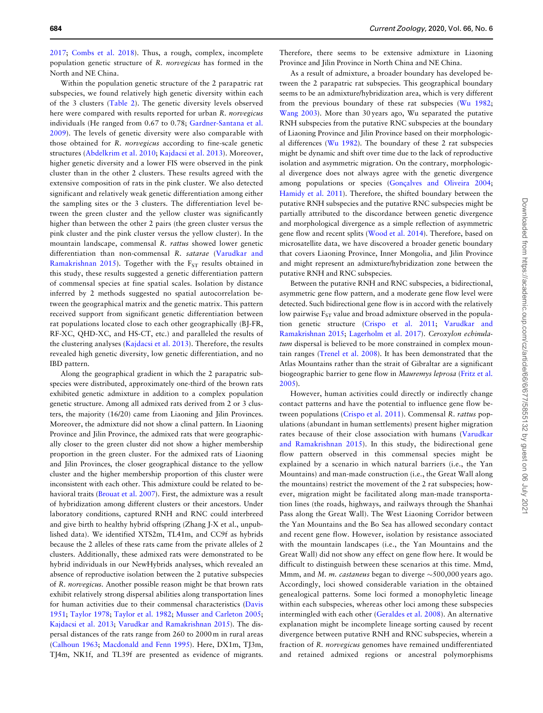[2017;](#page-11-0) [Combs et al. 2018](#page-10-0)). Thus, a rough, complex, incomplete population genetic structure of R. norvegicus has formed in the North and NE China.

Within the population genetic structure of the 2 parapatric rat subspecies, we found relatively high genetic diversity within each of the 3 clusters ([Table 2\)](#page-5-0). The genetic diversity levels observed here were compared with results reported for urban R. norvegicus individuals (He ranged from 0.67 to 0.78; [Gardner-Santana et al.](#page-10-0) [2009\)](#page-10-0). The levels of genetic diversity were also comparable with those obtained for R. norvegicus according to fine-scale genetic structures ([Abdelkrim et al. 2010;](#page-10-0) [Kajdacsi et al. 2013](#page-11-0)). Moreover, higher genetic diversity and a lower FIS were observed in the pink cluster than in the other 2 clusters. These results agreed with the extensive composition of rats in the pink cluster. We also detected significant and relatively weak genetic differentiation among either the sampling sites or the 3 clusters. The differentiation level between the green cluster and the yellow cluster was significantly higher than between the other 2 pairs (the green cluster versus the pink cluster and the pink cluster versus the yellow cluster). In the mountain landscape, commensal R. rattus showed lower genetic differentiation than non-commensal R. satarae ([Varudkar and](#page-11-0) [Ramakrishnan 2015\)](#page-11-0). Together with the  $F_{ST}$  results obtained in this study, these results suggested a genetic differentiation pattern of commensal species at fine spatial scales. Isolation by distance inferred by 2 methods suggested no spatial autocorrelation between the geographical matrix and the genetic matrix. This pattern received support from significant genetic differentiation between rat populations located close to each other geographically (BJ-FR, RF-XC, QHD-XC, and HS-CT, etc.) and paralleled the results of the clustering analyses ([Kajdacsi et al. 2013\)](#page-11-0). Therefore, the results revealed high genetic diversity, low genetic differentiation, and no IBD pattern.

Along the geographical gradient in which the 2 parapatric subspecies were distributed, approximately one-third of the brown rats exhibited genetic admixture in addition to a complex population genetic structure. Among all admixed rats derived from 2 or 3 clusters, the majority (16/20) came from Liaoning and Jilin Provinces. Moreover, the admixture did not show a clinal pattern. In Liaoning Province and Jilin Province, the admixed rats that were geographically closer to the green cluster did not show a higher membership proportion in the green cluster. For the admixed rats of Liaoning and Jilin Provinces, the closer geographical distance to the yellow cluster and the higher membership proportion of this cluster were inconsistent with each other. This admixture could be related to behavioral traits ([Brouat et al. 2007](#page-10-0)). First, the admixture was a result of hybridization among different clusters or their ancestors. Under laboratory conditions, captured RNH and RNC could interbreed and give birth to healthy hybrid offspring (Zhang J-X et al., unpublished data). We identified XTS2m, TL41m, and CC9f as hybrids because the 2 alleles of these rats came from the private alleles of 2 clusters. Additionally, these admixed rats were demonstrated to be hybrid individuals in our NewHybrids analyses, which revealed an absence of reproductive isolation between the 2 putative subspecies of R. norvegicus. Another possible reason might be that brown rats exhibit relatively strong dispersal abilities along transportation lines for human activities due to their commensal characteristics [\(Davis](#page-10-0) [1951](#page-10-0); [Taylor 1978](#page-11-0); [Taylor et al. 1982](#page-11-0); [Musser and Carleton 2005](#page-11-0); [Kajdacsi et al. 2013;](#page-11-0) [Varudkar and Ramakrishnan 2015](#page-11-0)). The dispersal distances of the rats range from 260 to 2000 m in rural areas [\(Calhoun 1963](#page-10-0); [Macdonald and Fenn 1995](#page-11-0)). Here, DX1m, TJ3m, TJ4m, NK1f, and TL39f are presented as evidence of migrants.

Therefore, there seems to be extensive admixture in Liaoning Province and Jilin Province in North China and NE China.

As a result of admixture, a broader boundary has developed between the 2 parapatric rat subspecies. This geographical boundary seems to be an admixture/hybridization area, which is very different from the previous boundary of these rat subspecies ([Wu 1982](#page-11-0); [Wang 2003\)](#page-11-0). More than 30 years ago, Wu separated the putative RNH subspecies from the putative RNC subspecies at the boundary of Liaoning Province and Jilin Province based on their morphological differences ([Wu 1982](#page-11-0)). The boundary of these 2 rat subspecies might be dynamic and shift over time due to the lack of reproductive isolation and asymmetric migration. On the contrary, morphological divergence does not always agree with the genetic divergence among populations or species [\(Gon](#page-10-0)ç[alves and Oliveira 2004](#page-10-0); [Hamidy et al. 2011\)](#page-11-0). Therefore, the shifted boundary between the putative RNH subspecies and the putative RNC subspecies might be partially attributed to the discordance between genetic divergence and morphological divergence as a simple reflection of asymmetric gene flow and recent splits ([Wood et al. 2014](#page-11-0)). Therefore, based on microsatellite data, we have discovered a broader genetic boundary that covers Liaoning Province, Inner Mongolia, and Jilin Province and might represent an admixture/hybridization zone between the putative RNH and RNC subspecies.

Between the putative RNH and RNC subspecies, a bidirectional, asymmetric gene flow pattern, and a moderate gene flow level were detected. Such bidirectional gene flow is in accord with the relatively low pairwise  $F_{ST}$  value and broad admixture observed in the population genetic structure ([Crispo et al. 2011;](#page-10-0) [Varudkar and](#page-11-0) [Ramakrishnan 2015;](#page-11-0) [Lagerholm et al. 2017\)](#page-11-0). Ceroxylon echinulatum dispersal is believed to be more constrained in complex mountain ranges ([Trenel et al. 2008](#page-11-0)). It has been demonstrated that the Atlas Mountains rather than the strait of Gibraltar are a significant biogeographic barrier to gene flow in Mauremys leprosa [\(Fritz et al.](#page-10-0) [2005](#page-10-0)).

However, human activities could directly or indirectly change contact patterns and have the potential to influence gene flow between populations ([Crispo et al. 2011](#page-10-0)). Commensal R. rattus populations (abundant in human settlements) present higher migration rates because of their close association with humans ([Varudkar](#page-11-0) [and Ramakrishnan 2015\)](#page-11-0). In this study, the bidirectional gene flow pattern observed in this commensal species might be explained by a scenario in which natural barriers (i.e., the Yan Mountains) and man-made construction (i.e., the Great Wall along the mountains) restrict the movement of the 2 rat subspecies; however, migration might be facilitated along man-made transportation lines (the roads, highways, and railways through the Shanhai Pass along the Great Wall). The West Liaoning Corridor between the Yan Mountains and the Bo Sea has allowed secondary contact and recent gene flow. However, isolation by resistance associated with the mountain landscapes (i.e., the Yan Mountains and the Great Wall) did not show any effect on gene flow here. It would be difficult to distinguish between these scenarios at this time. Mmd, Mmm, and M. m. castaneus began to diverge  $\sim$  500,000 years ago. Accordingly, loci showed considerable variation in the obtained genealogical patterns. Some loci formed a monophyletic lineage within each subspecies, whereas other loci among these subspecies intermingled with each other ([Geraldes et al. 2008\)](#page-10-0). An alternative explanation might be incomplete lineage sorting caused by recent divergence between putative RNH and RNC subspecies, wherein a fraction of R. norvegicus genomes have remained undifferentiated and retained admixed regions or ancestral polymorphisms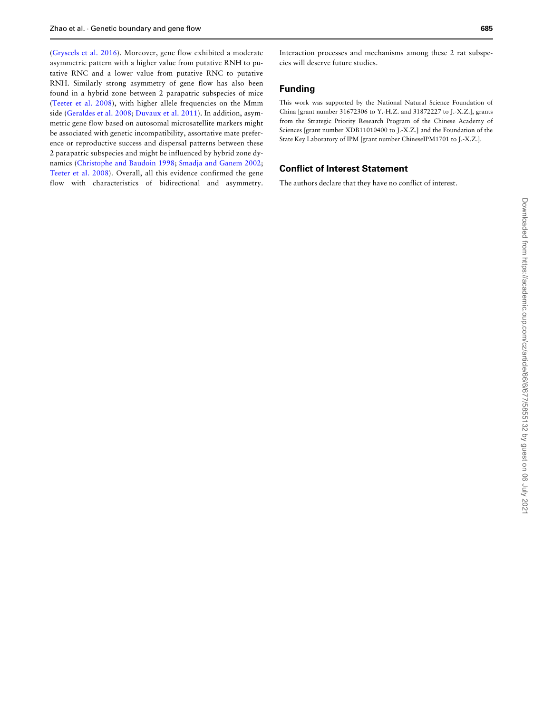[\(Gryseels et al. 2016](#page-10-0)). Moreover, gene flow exhibited a moderate asymmetric pattern with a higher value from putative RNH to putative RNC and a lower value from putative RNC to putative RNH. Similarly strong asymmetry of gene flow has also been found in a hybrid zone between 2 parapatric subspecies of mice [\(Teeter et al. 2008\)](#page-11-0), with higher allele frequencies on the Mmm side [\(Geraldes et al. 2008](#page-10-0); [Duvaux et al. 2011\)](#page-10-0). In addition, asymmetric gene flow based on autosomal microsatellite markers might be associated with genetic incompatibility, assortative mate preference or reproductive success and dispersal patterns between these 2 parapatric subspecies and might be influenced by hybrid zone dynamics [\(Christophe and Baudoin 1998;](#page-10-0) [Smadja and Ganem 2002](#page-11-0); [Teeter et al. 2008](#page-11-0)). Overall, all this evidence confirmed the gene flow with characteristics of bidirectional and asymmetry.

Interaction processes and mechanisms among these 2 rat subspecies will deserve future studies.

# Funding

This work was supported by the National Natural Science Foundation of China [grant number 31672306 to Y.-H.Z. and 31872227 to J.-X.Z.], grants from the Strategic Priority Research Program of the Chinese Academy of Sciences [grant number XDB11010400 to J.-X.Z.] and the Foundation of the State Key Laboratory of IPM [grant number ChineseIPM1701 to J.-X.Z.].

# Conflict of Interest Statement

The authors declare that they have no conflict of interest.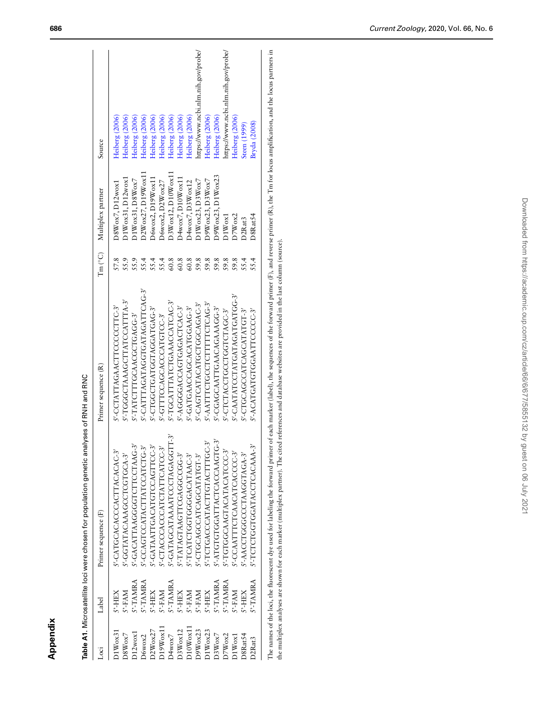<span id="page-9-0"></span>

| iso                  | Label           | Primer sequence (F)            | Primer sequence (R)                                                              |                   | Tm (°C) Multiplex partner | Source                              |
|----------------------|-----------------|--------------------------------|----------------------------------------------------------------------------------|-------------------|---------------------------|-------------------------------------|
| $DIW$ <sub>Ox3</sub> | S'-HEX          | S'-CATGCACACCACTTACACAC-3'     | S'-CCTATTAGAACTTCCCCCTTC-3'                                                      | 57.8              | $DSW$ ox7, $D12w$ ox1     | Heiberg (2006)                      |
| D8Wox7               | S'-FAM          | S'-GGTATACAAAGCCTCGTGCA-3      | S'-TGGGTAAAGCTTATCCATTTA-3'                                                      | 55.9              | DIWox31, D12wox1          | Heiberg (2006)                      |
| D12wox1              | S'-TAMRA        | S'-GACATTAAGGGTCTTCCTAAG-3'    | S'-TATCITTGCAACGCTGAGG-3'                                                        | 55.9              | DIWox31, D8Wox7           | Heiberg (2006)                      |
| D6wox2               | S'-TAMRA        | S'-CCAGTCCATACTTATCCATCTG-3'   | S'-CATTTAGATAGTGATAGATTCAG-3'                                                    |                   | D2Wox27, D19Wox11         | Heiberg (2006)                      |
| D2Wox27              | S'-HEX          | S'-GATAATTGACATGTCCAGTTCC-3'   | S'-CIGGCIGATGATGATGAG-3'                                                         | 554<br>554<br>554 | D6wox2, D19Wox11          | Heiberg (2006)                      |
| D19Wox11             | S'-FAM          | S'-CTACCCACCCATCTATTCATCC-3'   | S'-GITTCCAGCACCATGICC-3'                                                         |                   | D6wox2, D2Wox27           | Heiberg (2006)                      |
| D4wox7               | S'-TAMRA        | 5'-GATAGCATAAATCCCTAGAGGTT-3'  | S'-TGCATTTATCTGAAACCATCAC-3'                                                     | 60.8              | DSWox12, D10Wox11         | Heiberg (2006)                      |
| DSWox12              | S'-HEX          | S'-TATAGTAAGTTCGAGGCCGG-3      | S'-AGGGACCAGTGAGACTCAC-3'                                                        | 60.8              | D4wox7, D10Wox11          | Heiberg (2006)                      |
| D10W <sub>ox11</sub> | S'-FAM          | <i>S</i> -TCATCTGGGGGACATAAC-3 | S'-GATGAACCAGCATGGAAG-3'                                                         | 60.8              | D4wox7, D3Wox12           | Heiberg (2006)                      |
| D9Wox23              | S'-FAM          | S'-CTGCAGCCATCACCATATGT-3      | S'-CAGTCATACATGCTGGAGAC-3'                                                       | 59.8              | DIWox23, D3Wox7           | https://www.ncbi.nlm.nih.gov/probe/ |
| D1Wox23              | S'-HEX          | S'-TCTGACCCATACTTGTACTTTGC-3'  | S'-AATTTCTGCCTCTTTTCTCAG-3'                                                      | 59.8              | D9Wox23, D3Wox7           | Heiberg (2006)                      |
| D3Wox7               | S'-TAMRA        | S'-ATGTGGATTACTCAOCAAGTG-3'    | S'-CGAGCAATTGAACAAAAAGG-3'                                                       | 59.8              | D9Wox23, D1Wox23          | Heiberg (2006)                      |
| D7Wox2               | <b>S'-TAMRA</b> | S'-TGTGCAAGTACATACATCCC-3'     | S'-CTCLACCLCCCLCCLCLAGC-3'                                                       | 59.8              | DIWox1                    | https://www.ncbi.nlm.nih.gov/probe/ |
| D1W <sub>ox1</sub>   | S'-FAM          | S'-CCAATTTCTCAACATCACCCC-3'    | S'-CAATATCCTATGATAGATGATGG-3'                                                    | 59.8              | D7Wox2                    | Heiberg (2006)                      |
| D8Rat54              | S'-HEX          | S'-AACCTGGGCCCTAAGGTAGA-3'     | S'-CTGCAGCCATCACATATGT-3'                                                        | 55.4              | D <sub>2</sub> Rat3       | Steen (1999)                        |
| D2Rat3               | S'-TAMRA        | S-TCTCTGGTGGATACCTCACAAA-3     | S'-ACATGATGGAATTCCCCC-3'                                                         | 55.4              | D8Rat54                   | Bryda (2008)                        |
|                      |                 |                                | ,我们就是一个人,我们就是一个人,我们就是一个人,我们就是一个人,我们就是一个人,我们就是一个人,我们就是一个人,我们就是一个人,我们就是一个人,我们就是一个人 |                   |                           |                                     |
|                      |                 |                                |                                                                                  |                   |                           |                                     |

Table A1. Microsatellite loci were chosen for population genetic analyses of RNH and RNC Table A1. Microsatellite loci were chosen for population genetic analyses of RNH and RNC

The names of the loci, the fluorescent dye used for labeling the forward primer of each marker (label), the sequences of the forward primer (F), and reverse primer (R), the Tm for locus amplification, and the locus partner The names of the loci, the fluorescent dye used for labeling the forward primer of each marker (label), the sequences of the forward primer (F), and reverse primer (R), the Tm for locus amplification, and the locus partner the multiplex analyses are shown for each marker (multiplex partner). The cited references and database websites are provided in the last column (source).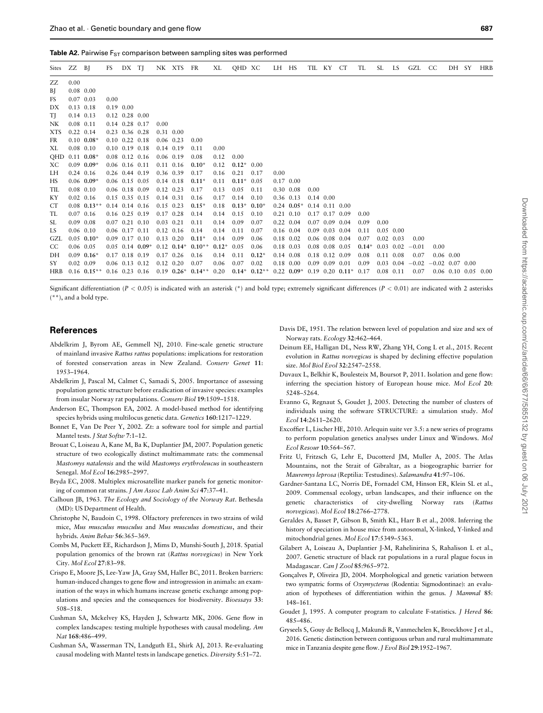<span id="page-10-0"></span>

| Sites ZZ BJ |                   |                                | FS   | DX TJ                        |                     |               | NK XTS FR         |                                    | XL      | QHD XC         |                                                              | LH HS             |               | TIL KY               |                      | CT | TL      | SL.  | LS                | GZL     | <sub>CC</sub>     | DH SY       | <b>HRB</b>                  |
|-------------|-------------------|--------------------------------|------|------------------------------|---------------------|---------------|-------------------|------------------------------------|---------|----------------|--------------------------------------------------------------|-------------------|---------------|----------------------|----------------------|----|---------|------|-------------------|---------|-------------------|-------------|-----------------------------|
| ZZ          | 0.00              |                                |      |                              |                     |               |                   |                                    |         |                |                                                              |                   |               |                      |                      |    |         |      |                   |         |                   |             |                             |
| BJ          | $0.08$ 0.00       |                                |      |                              |                     |               |                   |                                    |         |                |                                                              |                   |               |                      |                      |    |         |      |                   |         |                   |             |                             |
| FS          | $0.07$ 0.03       |                                | 0.00 |                              |                     |               |                   |                                    |         |                |                                                              |                   |               |                      |                      |    |         |      |                   |         |                   |             |                             |
| DX          | $0.13$ $0.18$     |                                |      | $0.19$ $0.00$                |                     |               |                   |                                    |         |                |                                                              |                   |               |                      |                      |    |         |      |                   |         |                   |             |                             |
| TJ          | $0.14$ $0.13$     |                                |      | $0.12$ $0.28$ $0.00$         |                     |               |                   |                                    |         |                |                                                              |                   |               |                      |                      |    |         |      |                   |         |                   |             |                             |
| NΚ          | $0.08$ 0.11       |                                |      | $0.14$ $0.28$ $0.17$         |                     | 0.00          |                   |                                    |         |                |                                                              |                   |               |                      |                      |    |         |      |                   |         |                   |             |                             |
| <b>XTS</b>  | $0.22 \quad 0.14$ |                                |      | $0.23$ 0.36 0.28             |                     | $0.31$ $0.00$ |                   |                                    |         |                |                                                              |                   |               |                      |                      |    |         |      |                   |         |                   |             |                             |
| FR          |                   | $0.10 \quad 0.08*$             |      | $0.10$ $0.22$ $0.18$         |                     | $0.06$ 0.23   |                   | 0.00                               |         |                |                                                              |                   |               |                      |                      |    |         |      |                   |         |                   |             |                             |
| XL          | $0.08$ 0.10       |                                |      | $0.10 \quad 0.19 \quad 0.18$ |                     |               | 0.14 0.19         | 0.11                               | 0.00    |                |                                                              |                   |               |                      |                      |    |         |      |                   |         |                   |             |                             |
| <b>OHD</b>  |                   | $0.11$ $0.08*$                 |      | $0.08$ 0.12 0.16             |                     |               | $0.06$ 0.19       | 0.08                               | 0.12    | 0.00           |                                                              |                   |               |                      |                      |    |         |      |                   |         |                   |             |                             |
| ХC          |                   | $0.09$ 0.09*                   |      | $0.06$ $0.16$ $0.11$         |                     |               | 0.11 0.16         | $0.10*$                            | 0.12    | $0.12^*$ 0.00  |                                                              |                   |               |                      |                      |    |         |      |                   |         |                   |             |                             |
| LH          | $0.24$ 0.16       |                                |      | $0.26$ 0.44 0.19             |                     | 0.36 0.39     |                   | 0.17                               | 0.16    | 0.21           | 0.17                                                         | 0.00              |               |                      |                      |    |         |      |                   |         |                   |             |                             |
| HS          |                   | $0.06$ 0.09*                   |      | $0.06$ 0.15 0.05             |                     |               | 0.14 0.18         | $0.11*$                            | 0.11    | $0.11^*$ 0.05  |                                                              | $0.17$ $0.00$     |               |                      |                      |    |         |      |                   |         |                   |             |                             |
| TIL         | $0.08$ 0.10       |                                |      | $0.06$ $0.18$ $0.09$         |                     |               | $0.12 \quad 0.23$ | 0.17                               | 0.13    | 0.05           | 0.11                                                         |                   | $0.30\ 0.08$  | 0.00                 |                      |    |         |      |                   |         |                   |             |                             |
| КY          | $0.02$ 0.16       |                                |      | $0.15$ $0.35$ $0.15$         |                     | $0.14$ $0.31$ |                   | 0.16                               | 0.17    | 0.14           | 0.10                                                         | $0.36$ $0.13$     |               | $0.14$ $0.00$        |                      |    |         |      |                   |         |                   |             |                             |
| CT          |                   | $0.08$ $0.13**$                |      | $0.14$ $0.14$ $0.16$         |                     | $0.15$ 0.23   |                   | $0.15*$                            | 0.18    | $0.13^*$ 0.10* |                                                              |                   | $0.24$ 0.05*  | $0.14$ $0.11$ $0.00$ |                      |    |         |      |                   |         |                   |             |                             |
| TL          | $0.07$ 0.16       |                                |      | $0.16$ $0.25$ $0.19$         |                     | $0.17$ 0.28   |                   | 0.14                               | 0.14    | 0.15           | 0.10                                                         |                   | $0.21$ $0.10$ | $0.17$ $0.17$ $0.09$ |                      |    | 0.00    |      |                   |         |                   |             |                             |
| SL.         | $0.09$ 0.08       |                                |      | $0.07$ $0.21$ $0.10$         |                     | $0.03$ 0.21   |                   | 0.11                               | 0.14    | 0.09           | 0.07                                                         | $0.22 \quad 0.04$ |               |                      | $0.07$ 0.09 0.04     |    | 0.09    | 0.00 |                   |         |                   |             |                             |
| LS          |                   | $0.06$ $0.10$                  |      | $0.06$ $0.17$ $0.11$         |                     |               | $0.12$ $0.16$     | 0.14                               | 0.14    | 0.11           | 0.07                                                         |                   | 0.16 0.04     |                      | $0.09$ $0.03$ $0.04$ |    | 0.11    |      | $0.05$ 0.00       |         |                   |             |                             |
| GZL         |                   | $0.05$ 0.10*                   |      | $0.09$ 0.17 0.10             |                     |               | $0.13 \quad 0.20$ | $0.11*$                            | 0.14    | 0.09           | 0.06                                                         | $0.18$ $0.02$     |               |                      | $0.06$ $0.08$ $0.04$ |    | 0.07    |      | $0.02 \quad 0.03$ | 0.00    |                   |             |                             |
| CC.         | $0.06$ 0.05       |                                |      |                              | $0.05$ 0.14 $0.09*$ |               |                   | $0.12$ $0.14*$ $0.10**$            | $0.12*$ | 0.05           | 0.06                                                         | 0.18 0.03         |               |                      | $0.08$ 0.08 0.05     |    | $0.14*$ |      | $0.03 \quad 0.02$ | $-0.01$ | 0.00              |             |                             |
| DH          |                   | $0.09$ $0.16*$                 |      | $0.17$ 0.18 0.19             |                     |               | $0.17$ 0.26       | 0.16                               | 0.14    | 0.11           | $0.12*$                                                      | $0.14$ $0.08$     |               |                      | $0.18$ $0.12$ $0.09$ |    | 0.08    |      | $0.11$ $0.08$     | 0.07    |                   | $0.06$ 0.00 |                             |
| SY          | $0.02$ 0.09       |                                |      | $0.06$ 0.13 0.12             |                     |               | $0.12 \quad 0.20$ | 0.07                               | 0.06    | 0.07           | 0.02                                                         |                   | 0.18 0.00     | $0.09$ $0.09$ $0.01$ |                      |    | 0.09    |      | $0.03$ 0.04       | $-0.02$ | $-0.02$ 0.07 0.00 |             |                             |
| HRB         |                   | $0.16$ $0.15**$ 0.16 0.23 0.16 |      |                              |                     |               |                   | $0.19$ $0.26^*$ $0.14^{**}$ $0.20$ |         |                | $0.14*$ $0.12**$ $0.22$ $0.09*$ $0.19$ $0.20$ $0.11*$ $0.17$ |                   |               |                      |                      |    |         |      | $0.08$ 0.11       | 0.07    |                   |             | $0.06$ $0.10$ $0.05$ $0.00$ |

Significant differentiation ( $P < 0.05$ ) is indicated with an asterisk (\*) and bold type; extremely significant differences ( $P < 0.01$ ) are indicated with 2 asterisks (\*\*), and a bold type.

# References

- Abdelkrim J, Byrom AE, Gemmell NJ, 2010. Fine-scale genetic structure of mainland invasive Rattus rattus populations: implications for restoration of forested conservation areas in New Zealand. Conserv Genet 11: 1953–1964.
- Abdelkrim J, Pascal M, Calmet C, Samadi S, 2005. Importance of assessing population genetic structure before eradication of invasive species: examples from insular Norway rat populations. Conserv Biol 19:1509–1518.
- Anderson EC, Thompson EA, 2002. A model-based method for identifying species hybrids using multilocus genetic data. Genetics 160:1217–1229.
- Bonnet E, Van De Peer Y, 2002. Zt: a software tool for simple and partial Mantel tests. J Stat Softw 7:1-12.
- Brouat C, Loiseau A, Kane M, Ba K, Duplantier JM, 2007. Population genetic structure of two ecologically distinct multimammate rats: the commensal Mastomys natalensis and the wild Mastomys erythroleucus in southeastern Senegal. Mol Ecol 16:2985–2997.
- Bryda EC, 2008. Multiplex microsatellite marker panels for genetic monitoring of common rat strains. J Am Assoc Lab Anim Sci 47:37–41.
- Calhoun JB, 1963. The Ecology and Sociology of the Norway Rat. Bethesda (MD): US Department of Health.
- Christophe N, Baudoin C, 1998. Olfactory preferences in two strains of wild mice, Mus musculus musculus and Mus musculus domesticus, and their hybrids. Anim Behav 56:365–369.
- Combs M, Puckett EE, Richardson J, Mims D, Munshi-South J, 2018. Spatial population genomics of the brown rat (Rattus norvegicus) in New York City. Mol Ecol 27:83–98.
- Crispo E, Moore JS, Lee-Yaw JA, Gray SM, Haller BC, 2011. Broken barriers: human-induced changes to gene flow and introgression in animals: an examination of the ways in which humans increase genetic exchange among populations and species and the consequences for biodiversity. Bioessays 33: 508–518.
- Cushman SA, Mckelvey KS, Hayden J, Schwartz MK, 2006. Gene flow in complex landscapes: testing multiple hypotheses with causal modeling. Am Nat 168:486–499.
- Cushman SA, Wasserman TN, Landguth EL, Shirk AJ, 2013. Re-evaluating causal modeling with Mantel tests in landscape genetics. Diversity 5:51–72.

Davis DE, 1951. The relation between level of population and size and sex of Norway rats. Ecology 32:462–464.

- Deinum EE, Halligan DL, Ness RW, Zhang YH, Cong L et al., 2015. Recent evolution in Rattus norvegicus is shaped by declining effective population size. Mol Biol Evol 32:2547–2558.
- Duvaux L, Belkhir K, Boulesteix M, Boursot P, 2011. Isolation and gene flow: inferring the speciation history of European house mice. Mol Ecol 20: 5248–5264.
- Evanno G, Regnaut S, Goudet J, 2005. Detecting the number of clusters of individuals using the software STRUCTURE: a simulation study. Mol Ecol 14:2611–2620.
- Excoffier L, Lischer HE, 2010. Arlequin suite ver 3.5: a new series of programs to perform population genetics analyses under Linux and Windows. Mol Ecol Resour 10:564–567.
- Fritz U, Fritzsch G, Lehr E, Ducotterd JM, Muller A, 2005. The Atlas Mountains, not the Strait of Gibraltar, as a biogeographic barrier for Mauremys leprosa (Reptilia: Testudines). Salamandra 41:97–106.
- Gardner-Santana LC, Norris DE, Fornadel CM, Hinson ER, Klein SL et al., 2009. Commensal ecology, urban landscapes, and their influence on the genetic characteristics of city-dwelling Norway rats (Rattus norvegicus). Mol Ecol 18:2766–2778.
- Geraldes A, Basset P, Gibson B, Smith KL, Harr B et al., 2008. Inferring the history of speciation in house mice from autosomal, X-linked, Y-linked and mitochondrial genes. Mol Ecol 17:5349–5363.
- Gilabert A, Loiseau A, Duplantier J-M, Rahelinirina S, Rahalison L et al., 2007. Genetic structure of black rat populations in a rural plague focus in Madagascar. Can J Zool 85:965–972.
- Goncalves P, Oliveira JD, 2004. Morphological and genetic variation between two sympatric forms of Oxymycterus (Rodentia: Sigmodontinae): an evaluation of hypotheses of differentiation within the genus. J Mammal 85: 148–161.
- Goudet J, 1995. A computer program to calculate F-statistics. J Hered 86: 485–486.
- Gryseels S, Gouy de Bellocq J, Makundi R, Vanmechelen K, Broeckhove J et al., 2016. Genetic distinction between contiguous urban and rural multimammate mice in Tanzania despite gene flow. J Evol Biol 29:1952–1967.